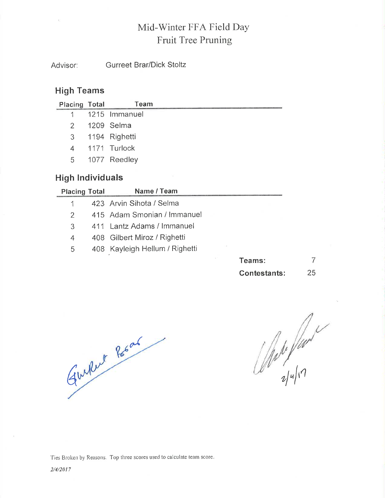# Mid-Winter FFA Field Day Fruit Tree Pruning

**Gurreet Brar/Dick Stoltz** Advisor:

#### **High Teams**

| Placing Total | Team            |
|---------------|-----------------|
|               | 1 1215 Immanuel |
|               | 2 1209 Selma    |
|               | 3 1194 Righetti |
|               | 4 1171 Turlock  |
| 5             | 1077 Reedley    |
|               |                 |

### **High Individuals**

| <b>Placing Total</b> | Name / Team                    |  |       |  |
|----------------------|--------------------------------|--|-------|--|
|                      | 423 Arvin Sihota / Selma       |  |       |  |
| 2                    | 415 Adam Smonian / Immanuel    |  |       |  |
| 3                    | 411 Lantz Adams / Immanuel     |  |       |  |
| 4                    | 408 Gilbert Miroz / Righetti   |  |       |  |
| 5                    | 408 Kayleigh Hellum / Righetti |  |       |  |
|                      |                                |  | eams: |  |

| leams:       |    |
|--------------|----|
| Contestants: | 25 |

Guillet Road

 $\frac{1}{2}$ 

Ties Broken by Reasons. Top three scores used to calculate team score.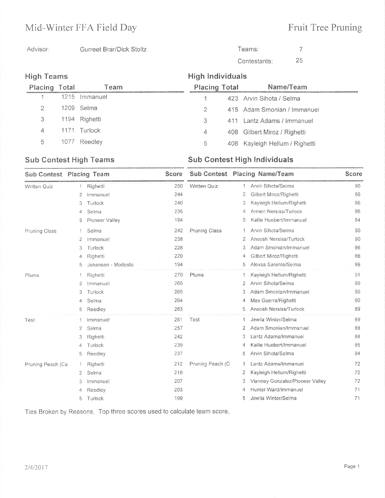## Mid-Winter FFA Field Day

# Fruit Tree Pruning

```
Advisor: Gurreet Brar/Dick Stoltz
```
Teams:

Contestants 

|      | Team                                      |                                                        |     | Name/Team            |                                                                                                                                                                                |
|------|-------------------------------------------|--------------------------------------------------------|-----|----------------------|--------------------------------------------------------------------------------------------------------------------------------------------------------------------------------|
|      | Immanuel                                  |                                                        |     |                      |                                                                                                                                                                                |
|      |                                           | 2                                                      |     |                      |                                                                                                                                                                                |
|      |                                           | 3                                                      | 411 |                      |                                                                                                                                                                                |
| 1171 |                                           | 4                                                      |     |                      |                                                                                                                                                                                |
|      | Reedley                                   | 5.                                                     |     |                      |                                                                                                                                                                                |
|      | <b>High Teams</b><br><b>Placing Total</b> | 1215<br>1209 Selma<br>1194 Righetti<br>Turlock<br>1077 |     | <b>Placing Total</b> | <b>High Individuals</b><br>423 Arvin Sihota / Selma<br>415 Adam Smonian / Immanuel<br>Lantz Adams / Immanuel<br>408 Gilbert Miroz / Righetti<br>408 Kayleigh Hellum / Righetti |

#### Sub Contest High Teams Sub Contest High Individuals

| Sub Contest Placing Team |                |                    | <b>Score</b> |                      |                | Sub Contest Placing Name/Team   | <b>Score</b> |
|--------------------------|----------------|--------------------|--------------|----------------------|----------------|---------------------------------|--------------|
| <b>Written Quiz</b>      | 1              | Righetti           | 250          | <b>Written Quiz</b>  | 1              | Arvin Sihota/Selma              | 90           |
|                          | $\overline{2}$ | Immanuel           | 244          |                      | $\overline{2}$ | Gilbert Miroz/Righetti          | 86           |
|                          | 3              | Turlock            | 240          |                      | 3              | Kayleigh Hellum/Righetti        | 86           |
|                          | 4              | Selma              | 236          |                      | 4              | Armen Nersiss/Turlock           | 86           |
|                          | 5              | Pioneer Valley     | 194          |                      | 5              | Kallie Huebert/Immanuel         | 84           |
| Pruning Class            | 1.             | Selma              | 242          | <b>Pruning Class</b> | 1              | Arvin Sihota/Selma              | 90           |
|                          | $\overline{2}$ | Immanuel           | 238          |                      | 2              | Anoosh Nersiss/Turlock          | 90           |
|                          | 3              | Turlock            | 228          |                      | 3              | Adam Smonian/Immanuel           | 86           |
|                          | 4              | Righetti           | 220          |                      | 4              | Gilbert Miroz/Righetti          | 86           |
|                          | 5              | Johansen - Modesto | 194          |                      | 5              | Alexsa Sarente/Selma            | 86           |
| Plums                    | 1              | Righetti           | 270          | Plums                | -1             | Kayleigh Hellum/Righetti        | 91           |
|                          | 2              | Immanuel           | 265          |                      | 2              | Arvin Sihota/Selma              | 90           |
|                          | 3              | Turlock            | 265          |                      | 3              | Adam Smonian/Immanuel           | 90           |
|                          | 4              | Selma              | 264          |                      | 4              | Max Guerra/Righetti             | 90           |
|                          | 5              | Reedley            | 263          |                      | 5              | Anoosh Nersiss/Turlock          | 89           |
| Test                     |                | Immanuel           | 261          | Test                 | 1              | Jewlia Winter/Selma             | 89           |
|                          | 2              | Selma              | 257          |                      | 2              | Adam Smonian/Immanuel           | 88           |
|                          | 3              | Righetti           | 242          |                      | 3              | Lantz Adams/Immanuel            | 88           |
|                          | 4              | Turlock            | 239          |                      | 4              | Kallie Huebert/Immanuel         | 85           |
|                          | 5              | Reedley            | 237          |                      | 5              | Arvin Sihota/Selma              | 84           |
| Pruning Peach (Ca        | -1             | Righetti           | 212          | Pruning Peach (C     | 1              | Lantz Adams/Immanuel            | 72           |
|                          | $\overline{2}$ | Selma              | 210          |                      | 2              | Kayleigh Hellum/Righetti        | 72           |
|                          | 3              | Immanuel           | 207          |                      | 3              | Vianney Gonzalez/Pioneer Valley | 72           |
|                          | 4              | Reedley            | 203          |                      | 4              | Hunter Ward/Immanuel            | 71           |
|                          | 5              | Turlock            | 199          |                      | 5              | Jewlia Winter/Selma             | 71           |

Ties Broken by Reasons. Top three scores used to calculate team score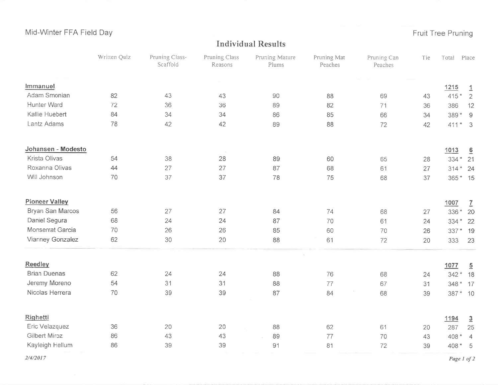Mid-Winter FFA Field Day

## Fruit Tree Pruning

#### **Individual Results**

|                       | Written Quiz | Pruning Class-<br>Scaffold | Pruning Class<br>Reasons | Pruning Mature<br>Plums | Pruning Mat<br>Peaches | Pruning Can<br>Peaches | Tie | Total      | Place          |
|-----------------------|--------------|----------------------------|--------------------------|-------------------------|------------------------|------------------------|-----|------------|----------------|
| Immanuel              |              |                            |                          |                         |                        |                        |     | 1215       | $\overline{1}$ |
| Adam Smonian          | 82           | 43                         | 43                       | 90                      | 88                     | 69                     | 43  | $415*$     | $\overline{2}$ |
| Hunter Ward           | 72           | 36                         | 36                       | 89                      | 82                     | 71                     | 36  | 386        | 12             |
| Kallie Huebert        | 84           | 34                         | 34                       | 86                      | 85                     | 66                     | 34  | $389*$     | $\overline{9}$ |
| Lantz Adams           | 78           | 42                         | 42                       | 89                      | 88                     | 72                     | 42  | $411*3$    |                |
| Johansen - Modesto    |              |                            |                          |                         |                        |                        |     | 1013       | 6              |
| Krista Olivas         | 54           | 38                         | 28                       | 89                      | 60                     | 65                     | 28  | $334*$     | 21             |
| Roxanna Olivas        | 44           | 27                         | 27                       | 87                      | 68                     | 61                     | 27  | $314 * 24$ |                |
| Will Johnson          | 70           | 37                         | 37                       | 78                      | 75                     | 68                     | 37  | 365 * 15   |                |
| <b>Pioneer Valley</b> |              |                            |                          |                         |                        |                        |     | 1007       | $\overline{1}$ |
| Bryan San Marcos      | 56           | 27                         | 27                       | 84                      | 74                     | 68                     | 27  | 336 *      | 20             |
| Daniel Segura         | 68           | 24                         | 24                       | 87                      | 70                     | 61                     | 24  | $334*$     | 22             |
| Monserrat Garcia      | 70           | 26                         | 26                       | 85                      | 60                     | 70                     | 26  | 337 * 19   |                |
| Vianney Gonzalez      | 62           | 30                         | 20                       | 88                      | 61                     | 72                     | 20  | 333        | 23             |
| Reedley               |              |                            |                          |                         |                        |                        |     | 1077       | $\overline{5}$ |
| <b>Brian Duenas</b>   | 62           | 24                         | 24                       | 88                      | 76                     | 68                     | 24  | $342*$     | 18             |
| Jeremy Moreno         | 54           | 31                         | 31                       | 88                      | 77                     | 67                     | 31  | 348 * 17   |                |
| Nicolas Herrera       | 70           | 39                         | 39                       | 87                      | 84                     | 68                     | 39  | 387 * 10   |                |
| Righetti              |              |                            |                          |                         |                        |                        |     | 1194       | $\overline{3}$ |
| Eric Velazquez        | 36           | 20                         | 20                       | 88                      | 62                     | 61                     | 20  | 287        | 25             |
| Gilbert Miroz         | 86           | 43                         | 43                       | 89                      | 77                     | 70                     | 43  | 408 *      | $\overline{4}$ |
| Kayleigh Hellum       | 86           | 39                         | 39                       | 91                      | 81                     | 72                     | 39  | 408 *      | 5              |

 $2/4/2017$ 

Page 1 of 2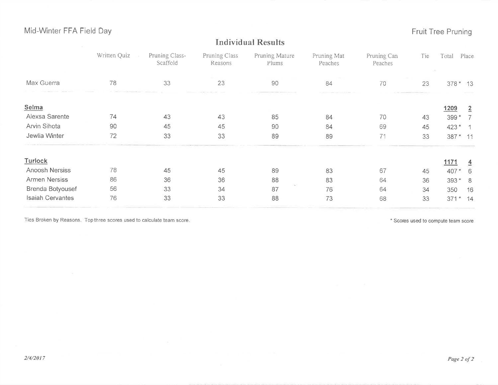#### Mid-Winter FFA Field Day

Fruit Tree Pruning

|                         | Written Quiz | Pruning Class-<br>Scaffold | Pruning Class<br>Reasons | Pruning Mature<br>Plums | Pruning Mat<br>Peaches | Pruning Can<br>Peaches | Tie | Total          | Place |
|-------------------------|--------------|----------------------------|--------------------------|-------------------------|------------------------|------------------------|-----|----------------|-------|
| Max Guerra              | 78           | 33                         | 23                       | 90                      | 84                     | 70                     | 23  | $378 * 13$     |       |
| Selma                   |              |                            |                          |                         |                        |                        |     | 1209           | 2     |
| Alexsa Sarente          | 74           | 43                         | 43                       | 85                      | 84                     | 70                     | 43  | 399 *          |       |
| Arvin Sihota            | 90           | 45                         | 45                       | 90                      | 84                     | 69                     | 45  | 423 *          |       |
| Jewlia Winter           | 72           | 33                         | 33                       | 89                      | 89                     | 71                     | 33  | 387 * 11       |       |
| Turlock                 |              |                            |                          |                         |                        |                        |     | <u>1171</u>    |       |
| Anoosh Nersiss          | 78           | 45                         | 45                       | 89                      | 83                     | 67                     | 45  | 407            | 6     |
| Armen Nersiss           | 86           | 36                         | 36                       | 88                      | 83                     | 64                     | 36  | 393<br>$\star$ | - 8   |
| Brenda Botyousef        | 56           | 33                         | 34                       | 87                      | 76                     | 64                     | 34  | 350            | 16    |
| <b>Isaiah Cervantes</b> | 76           | 33                         | 33                       | 88                      | 73                     | 68                     | 33  | 371<br>$\star$ | 14    |

**Individual Results** 

Ties Broken by Reasons. Top three scores used to calculate team score.

\* Scores used to compute team score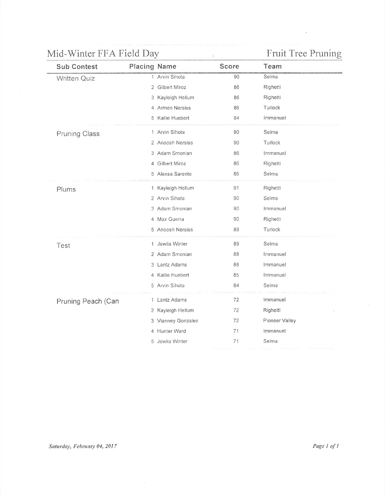# Mid-Winter FFA Field Day Fruit Tree Pruning

| <b>Sub Contest</b>   | <b>Placing Name</b> | <b>Score</b> | Team           |  |
|----------------------|---------------------|--------------|----------------|--|
| <b>Written Quiz</b>  | 1 Arvin Sihota      | 90           | Selma          |  |
|                      | 2 Gilbert Miroz     | 86           | Righetti       |  |
|                      | 3 Kayleigh Hellum   | 86           | Righetti       |  |
|                      | 4 Armen Nersiss     | 86           | Turlock        |  |
|                      | 5 Kallie Huebert    | 84           | Immanuel       |  |
| <b>Pruning Class</b> | 1 Arvin Sihota      | 90           | Selma          |  |
|                      | 2 Anoosh Nersiss    | 90           | Turlock        |  |
|                      | 3 Adam Smonian      | 86           | Immanuel       |  |
|                      | 4 Gilbert Miroz     | 86           | Righetti       |  |
|                      | 5 Alexsa Sarente    | 86           | Selma          |  |
| Plums                | 1 Kayleigh Hellum   | 91           | Righetti       |  |
|                      | 2 Arvin Sihota      | 90           | Selma          |  |
|                      | 3 Adam Smonian      | 90           | Immanuel       |  |
|                      | 4 Max Guerra        | 90           | Righetti       |  |
|                      | 5 Anoosh Nersiss    | 89           | Turlock        |  |
| Test                 | 1 Jewlia Winter     | 89           | Selma          |  |
|                      | 2 Adam Smonian      | 88           | Immanuel       |  |
|                      | 3 Lantz Adams       | 88           | Immanuel       |  |
|                      | 4 Kallie Huebert    | 85           | Immanuel       |  |
|                      | 5 Arvin Sihota      | 84           | Selma          |  |
| Pruning Peach (Can   | 1 Lantz Adams       | 72           | Immanuel       |  |
|                      | 2 Kayleigh Hellum   | 72           | Righetti       |  |
|                      | 3 Vianney Gonzalez  | 72           | Pioneer Valley |  |
|                      | 4 Hunter Ward       | 71           | Immanuel       |  |
|                      | 5 Jewlia Winter     | 71           | Selma          |  |
|                      |                     |              |                |  |